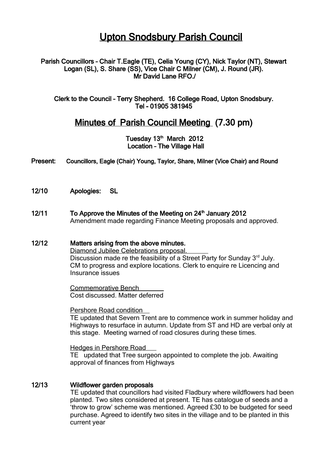# Upton Snodsbury Parish Council

### Parish Councillors – Chair T.Eagle (TE), Celia Young (CY), Nick Taylor (NT), Stewart Logan (SL), S. Share (SS), Vice Chair C Milner (CM), J. Round (JR). Mr David Lane RFO./

Clerk to the Council – Terry Shepherd. 16 College Road, Upton Snodsbury. Tel - 01905 381945

## Minutes of Parish Council Meeting (7.30 pm)

Tuesday 13<sup>th</sup> March 2012 Location – The Village Hall

#### Present: Councillors, Eagle (Chair) Young, Taylor, Share, Milner (Vice Chair) and Round

12/10 Apologies: SL

12/11 To Approve the Minutes of the Meeting on 24<sup>th</sup> January 2012 Amendment made regarding Finance Meeting proposals and approved.

## 12/12 Matters arising from the above minutes. Diamond Jubilee Celebrations proposal. Discussion made re the feasibility of a Street Party for Sunday 3<sup>rd</sup> July. CM to progress and explore locations. Clerk to enquire re Licencing and Insurance issues

 Commemorative Bench Cost discussed. Matter deferred

Pershore Road condition TE updated that Severn Trent are to commence work in summer holiday and Highways to resurface in autumn. Update from ST and HD are verbal only at this stage. Meeting warned of road closures during these times.

Hedges in Pershore Road

TE updated that Tree surgeon appointed to complete the job. Awaiting approval of finances from Highways

#### 12/13 Wildflower garden proposals

TE updated that councillors had visited Fladbury where wildflowers had been planted. Two sites considered at present. TE has catalogue of seeds and a 'throw to grow' scheme was mentioned. Agreed £30 to be budgeted for seed purchase. Agreed to identify two sites in the village and to be planted in this current year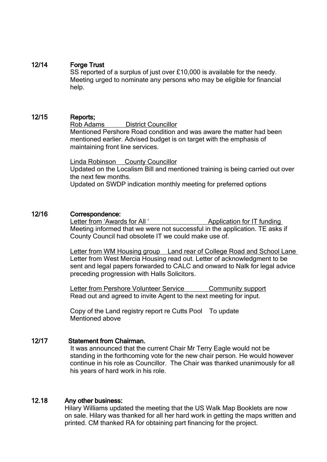## 12/14 Forge Trust

SS reported of a surplus of just over £10,000 is available for the needy. Meeting urged to nominate any persons who may be eligible for financial help.

## 12/15 Reports;

Rob Adams District Councillor Mentioned Pershore Road condition and was aware the matter had been mentioned earlier. Advised budget is on target with the emphasis of maintaining front line services.

Linda Robinson County Councillor Updated on the Localism Bill and mentioned training is being carried out over the next few months. Updated on SWDP indication monthly meeting for preferred options

## 12/16 Correspondence:

Letter from 'Awards for All ' Application for IT funding Meeting informed that we were not successful in the application. TE asks if County Council had obsolete IT we could make use of.

Letter from WM Housing group Land rear of College Road and School Lane Letter from West Mercia Housing read out. Letter of acknowledgment to be sent and legal papers forwarded to CALC and onward to Nalk for legal advice preceding progression with Halls Solicitors.

Letter from Pershore Volunteer Service Community support Read out and agreed to invite Agent to the next meeting for input.

Copy of the Land registry report re Cutts Pool To update Mentioned above

## 12/17 Statement from Chairman.

It was announced that the current Chair Mr Terry Eagle would not be standing in the forthcoming vote for the new chair person. He would however continue in his role as Councillor. The Chair was thanked unanimously for all his years of hard work in his role.

## 12.18 Any other business:

Hilary Williams updated the meeting that the US Walk Map Booklets are now on sale. Hilary was thanked for all her hard work in getting the maps written and printed. CM thanked RA for obtaining part financing for the project.